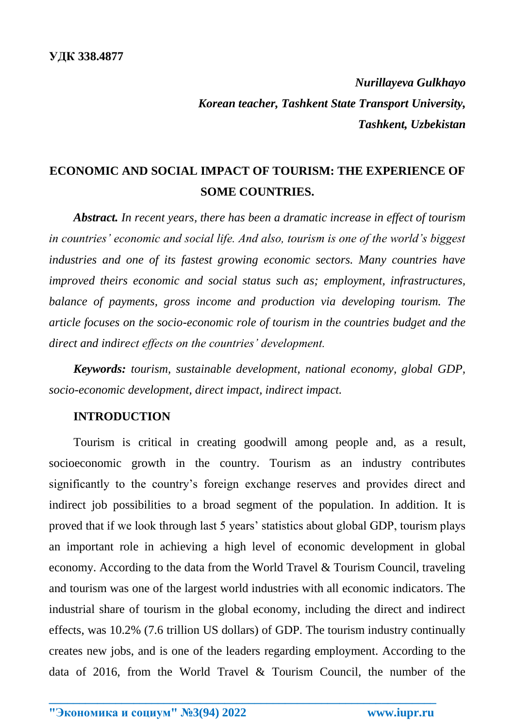*Nurillayeva Gulkhayo Korean teacher, Tashkent State Transport University, Tashkent, Uzbekistan*

# **ECONOMIC AND SOCIAL IMPACT OF TOURISM: THE EXPERIENCE OF SOME COUNTRIES.**

*Abstract. In recent years, there has been a dramatic increase in effect of tourism in countries' economic and social life. And also, tourism is one of the world's biggest industries and one of its fastest growing economic sectors. Many countries have improved theirs economic and social status such as; employment, infrastructures, balance of payments, gross income and production via developing tourism. The article focuses on the socio-economic role of tourism in the countries budget and the direct and indirect effects on the countries' development.*

*Keywords: tourism, sustainable development, national economy, global GDP, socio-economic development, direct impact, indirect impact.*

#### **INTRODUCTION**

Tourism is critical in creating goodwill among people and, as a result, socioeconomic growth in the country. Tourism as an industry contributes significantly to the country's foreign exchange reserves and provides direct and indirect job possibilities to a broad segment of the population. In addition. It is proved that if we look through last 5 years' statistics about global GDP, tourism plays an important role in achieving a high level of economic development in global economy. According to the data from the World Travel & Tourism Council, traveling and tourism was one of the largest world industries with all economic indicators. The industrial share of tourism in the global economy, including the direct and indirect effects, was 10.2% (7.6 trillion US dollars) of GDP. The tourism industry continually creates new jobs, and is one of the leaders regarding employment. According to the data of 2016, from the World Travel & Tourism Council, the number of the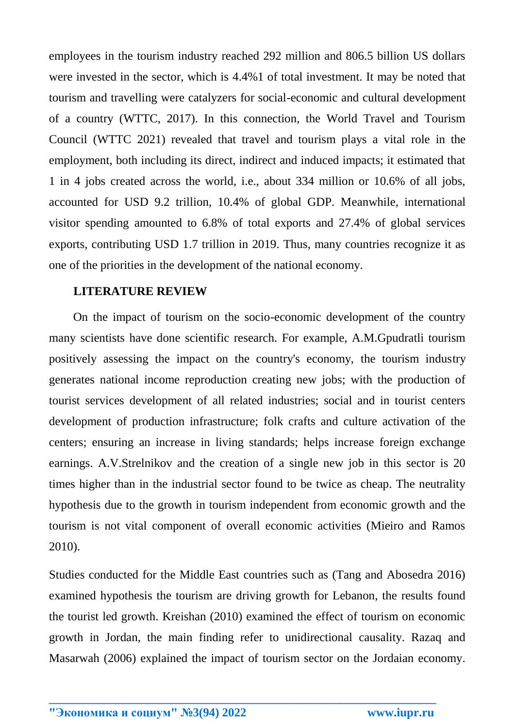employees in the tourism industry reached 292 million and 806.5 billion US dollars were invested in the sector, which is 4.4%1 of total investment. It may be noted that tourism and travelling were catalyzers for social-economic and cultural development of a country (WTTC, 2017). In this connection, the World Travel and Tourism Council (WTTC 2021) revealed that travel and tourism plays a vital role in the employment, both including its direct, indirect and induced impacts; it estimated that 1 in 4 jobs created across the world, i.e., about 334 million or 10.6% of all jobs, accounted for USD 9.2 trillion, 10.4% of global GDP. Meanwhile, international visitor spending amounted to 6.8% of total exports and 27.4% of global services exports, contributing USD 1.7 trillion in 2019. Thus, many countries recognize it as one of the priorities in the development of the national economy.

#### **LITERATURE REVIEW**

 On the impact of tourism on the socio-economic development of the country many scientists have done scientific research. For example, A.M.Gpudratli tourism positively assessing the impact on the country's economy, the tourism industry generates national income reproduction creating new jobs; with the production of tourist services development of all related industries; social and in tourist centers development of production infrastructure; folk crafts and culture activation of the centers; ensuring an increase in living standards; helps increase foreign exchange earnings. A.V.Strelnikov and the creation of a single new job in this sector is 20 times higher than in the industrial sector found to be twice as cheap. The neutrality hypothesis due to the growth in tourism independent from economic growth and the tourism is not vital component of overall economic activities (Mieiro and Ramos 2010).

Studies conducted for the Middle East countries such as (Tang and Abosedra 2016) examined hypothesis the tourism are driving growth for Lebanon, the results found the tourist led growth. Kreishan (2010) examined the effect of tourism on economic growth in Jordan, the main finding refer to unidirectional causality. Razaq and Masarwah (2006) explained the impact of tourism sector on the Jordaian economy.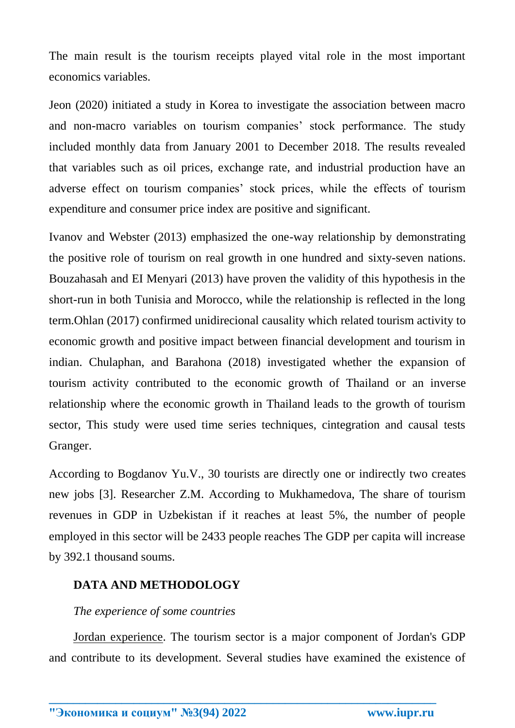The main result is the tourism receipts played vital role in the most important economics variables.

Jeon (2020) initiated a study in Korea to investigate the association between macro and non-macro variables on tourism companies' stock performance. The study included monthly data from January 2001 to December 2018. The results revealed that variables such as oil prices, exchange rate, and industrial production have an adverse effect on tourism companies' stock prices, while the effects of tourism expenditure and consumer price index are positive and significant.

Ivanov and Webster (2013) emphasized the one-way relationship by demonstrating the positive role of tourism on real growth in one hundred and sixty-seven nations. Bouzahasah and EI Menyari (2013) have proven the validity of this hypothesis in the short-run in both Tunisia and Morocco, while the relationship is reflected in the long term.Ohlan (2017) confirmed unidirecional causality which related tourism activity to economic growth and positive impact between financial development and tourism in indian. Chulaphan, and Barahona (2018) investigated whether the expansion of tourism activity contributed to the economic growth of Thailand or an inverse relationship where the economic growth in Thailand leads to the growth of tourism sector, This study were used time series techniques, cintegration and causal tests Granger.

According to Bogdanov Yu.V., 30 tourists are directly one or indirectly two creates new jobs [3]. Researcher Z.M. According to Mukhamedova, The share of tourism revenues in GDP in Uzbekistan if it reaches at least 5%, the number of people employed in this sector will be 2433 people reaches The GDP per capita will increase by 392.1 thousand soums.

# **DATA AND METHODOLOGY**

# *The experience of some countries*

Jordan experience. The tourism sector is a major component of Jordan's GDP and contribute to its development. Several studies have examined the existence of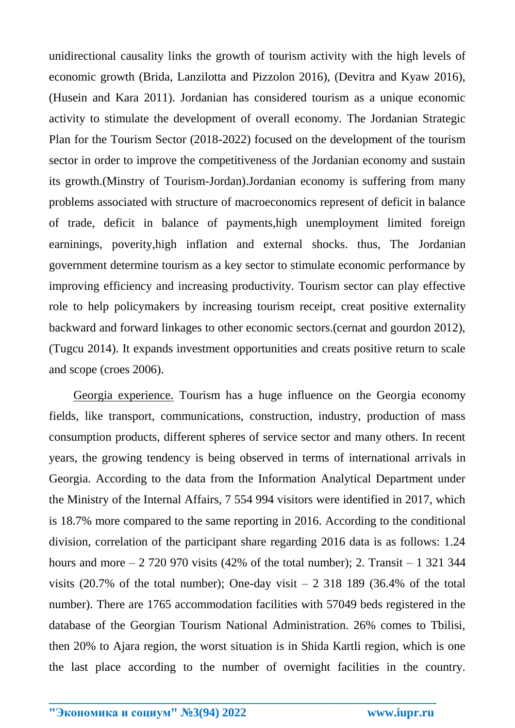unidirectional causality links the growth of tourism activity with the high levels of economic growth (Brida, Lanzilotta and Pizzolon 2016), (Devitra and Kyaw 2016), (Husein and Kara 2011). Jordanian has considered tourism as a unique economic activity to stimulate the development of overall economy. The Jordanian Strategic Plan for the Tourism Sector (2018-2022) focused on the development of the tourism sector in order to improve the competitiveness of the Jordanian economy and sustain its growth.(Minstry of Tourism-Jordan).Jordanian economy is suffering from many problems associated with structure of macroeconomics represent of deficit in balance of trade, deficit in balance of payments,high unemployment limited foreign earninings, poverity,high inflation and external shocks. thus, The Jordanian government determine tourism as a key sector to stimulate economic performance by improving efficiency and increasing productivity. Tourism sector can play effective role to help policymakers by increasing tourism receipt, creat positive externality backward and forward linkages to other economic sectors.(cernat and gourdon 2012), (Tugcu 2014). It expands investment opportunities and creats positive return to scale and scope (croes 2006).

Georgia experience. Tourism has a huge influence on the Georgia economy fields, like transport, communications, construction, industry, production of mass consumption products, different spheres of service sector and many others. In recent years, the growing tendency is being observed in terms of international arrivals in Georgia. According to the data from the Information Analytical Department under the Ministry of the Internal Affairs, 7 554 994 visitors were identified in 2017, which is 18.7% more compared to the same reporting in 2016. According to the conditional division, correlation of the participant share regarding 2016 data is as follows: 1.24 hours and more  $-2$  720 970 visits (42% of the total number); 2. Transit  $-1$  321 344 visits (20.7% of the total number); One-day visit  $-2$  318 189 (36.4% of the total number). There are 1765 accommodation facilities with 57049 beds registered in the database of the Georgian Tourism National Administration. 26% comes to Tbilisi, then 20% to Ajara region, the worst situation is in Shida Kartli region, which is one the last place according to the number of overnight facilities in the country.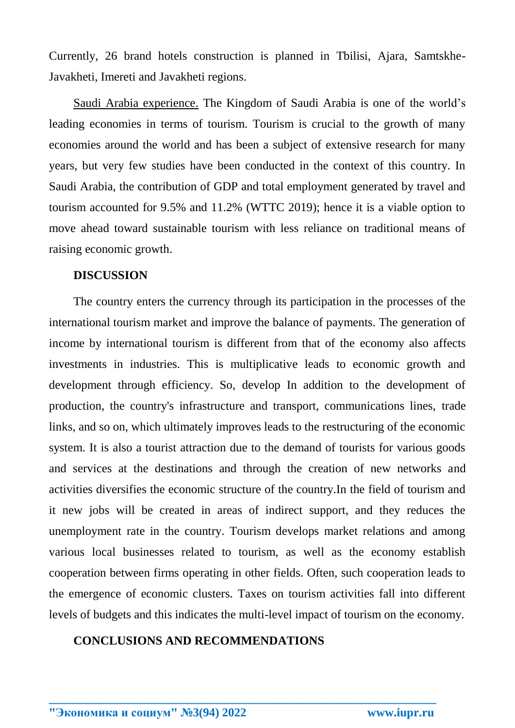Currently, 26 brand hotels construction is planned in Tbilisi, Ajara, Samtskhe-Javakheti, Imereti and Javakheti regions.

Saudi Arabia experience. The Kingdom of Saudi Arabia is one of the world's leading economies in terms of tourism. Tourism is crucial to the growth of many economies around the world and has been a subject of extensive research for many years, but very few studies have been conducted in the context of this country. In Saudi Arabia, the contribution of GDP and total employment generated by travel and tourism accounted for 9.5% and 11.2% (WTTC 2019); hence it is a viable option to move ahead toward sustainable tourism with less reliance on traditional means of raising economic growth.

#### **DISCUSSION**

The country enters the currency through its participation in the processes of the international tourism market and improve the balance of payments. The generation of income by international tourism is different from that of the economy also affects investments in industries. This is multiplicative leads to economic growth and development through efficiency. So, develop In addition to the development of production, the country's infrastructure and transport, communications lines, trade links, and so on, which ultimately improves leads to the restructuring of the economic system. It is also a tourist attraction due to the demand of tourists for various goods and services at the destinations and through the creation of new networks and activities diversifies the economic structure of the country.In the field of tourism and it new jobs will be created in areas of indirect support, and they reduces the unemployment rate in the country. Tourism develops market relations and among various local businesses related to tourism, as well as the economy establish cooperation between firms operating in other fields. Often, such cooperation leads to the emergence of economic clusters. Taxes on tourism activities fall into different levels of budgets and this indicates the multi-level impact of tourism on the economy.

### **CONCLUSIONS AND RECOMMENDATIONS**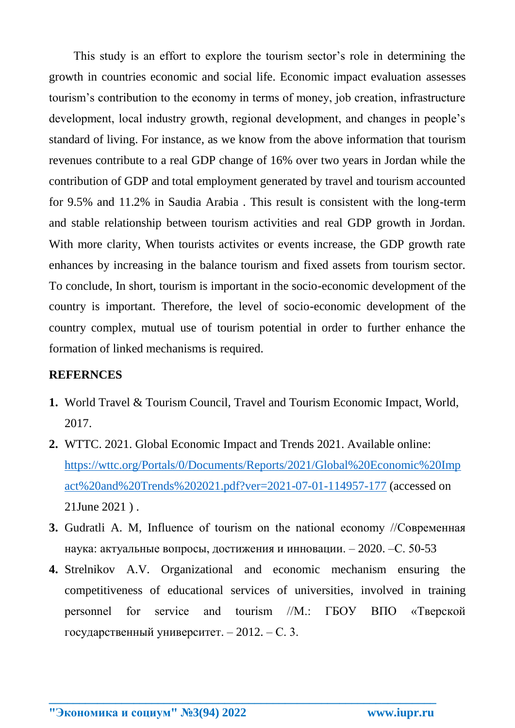This study is an effort to explore the tourism sector's role in determining the growth in countries economic and social life. Economic impact evaluation assesses tourism's contribution to the economy in terms of money, job creation, infrastructure development, local industry growth, regional development, and changes in people's standard of living. For instance, as we know from the above information that tourism revenues contribute to a real GDP change of 16% over two years in Jordan while the contribution of GDP and total employment generated by travel and tourism accounted for 9.5% and 11.2% in Saudia Arabia . This result is consistent with the long-term and stable relationship between tourism activities and real GDP growth in Jordan. With more clarity, When tourists activites or events increase, the GDP growth rate enhances by increasing in the balance tourism and fixed assets from tourism sector. To conclude, In short, tourism is important in the socio-economic development of the country is important. Therefore, the level of socio-economic development of the country complex, mutual use of tourism potential in order to further enhance the formation of linked mechanisms is required.

# **REFERNCES**

- **1.** World Travel & Tourism Council, Travel and Tourism Economic Impact, World, 2017.
- **2.** WTTC. 2021. Global Economic Impact and Trends 2021. Available online: [https://wttc.org/Portals/0/Documents/Reports/2021/Global%20Economic%20Imp](https://wttc.org/Portals/0/Documents/Reports/2021/Global%20Economic%20Impact%20and%20Trends%202021.pdf?ver=2021-07-01-114957-177) [act%20and%20Trends%202021.pdf?ver=2021-07-01-114957-177](https://wttc.org/Portals/0/Documents/Reports/2021/Global%20Economic%20Impact%20and%20Trends%202021.pdf?ver=2021-07-01-114957-177) (accessed on 21June 2021 ) .
- **3.** Gudratli A. M, Influence of tourism on the national economy //Современная наука: актуальные вопросы, достижения и инновации. – 2020. –С. 50-53
- **4.** Strelnikov A.V. Organizational and economic mechanism ensuring the competitiveness of educational services of universities, involved in training personnel for service and tourism //М.: ГБОУ ВПО «Тверской государственный университет. – 2012. – С. 3.